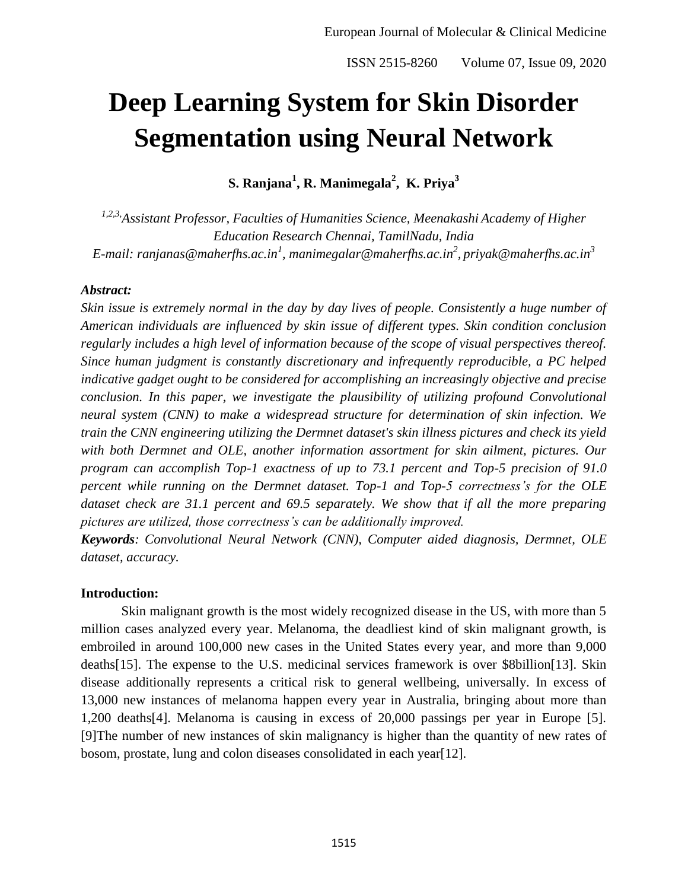# **Deep Learning System for Skin Disorder Segmentation using Neural Network**

**S. Ranjana<sup>1</sup> , R. Manimegala<sup>2</sup> , K. Priya<sup>3</sup>**

*1,2,3,Assistant Professor, Faculties of Humanities Science, Meenakashi Academy of Higher Education Research Chennai, TamilNadu, India E-mail: ranjanas@maherfhs.ac.in<sup>1</sup> , manimegalar@maherfhs.ac.in<sup>2</sup> , priyak@maherfhs.ac.in<sup>3</sup>*

#### *Abstract:*

*Skin issue is extremely normal in the day by day lives of people. Consistently a huge number of American individuals are influenced by skin issue of different types. Skin condition conclusion regularly includes a high level of information because of the scope of visual perspectives thereof. Since human judgment is constantly discretionary and infrequently reproducible, a PC helped indicative gadget ought to be considered for accomplishing an increasingly objective and precise conclusion. In this paper, we investigate the plausibility of utilizing profound Convolutional neural system (CNN) to make a widespread structure for determination of skin infection. We train the CNN engineering utilizing the Dermnet dataset's skin illness pictures and check its yield with both Dermnet and OLE, another information assortment for skin ailment, pictures. Our program can accomplish Top-1 exactness of up to 73.1 percent and Top-5 precision of 91.0 percent while running on the Dermnet dataset. Top-1 and Top-5 correctness's for the OLE dataset check are 31.1 percent and 69.5 separately. We show that if all the more preparing pictures are utilized, those correctness's can be additionally improved.*

*Keywords: Convolutional Neural Network (CNN), Computer aided diagnosis, Dermnet, OLE dataset, accuracy.*

#### **Introduction:**

Skin malignant growth is the most widely recognized disease in the US, with more than 5 million cases analyzed every year. Melanoma, the deadliest kind of skin malignant growth, is embroiled in around 100,000 new cases in the United States every year, and more than 9,000 deaths[15]. The expense to the U.S. medicinal services framework is over \$8billion[13]. Skin disease additionally represents a critical risk to general wellbeing, universally. In excess of 13,000 new instances of melanoma happen every year in Australia, bringing about more than 1,200 deaths[4]. Melanoma is causing in excess of 20,000 passings per year in Europe [5]. [9]The number of new instances of skin malignancy is higher than the quantity of new rates of bosom, prostate, lung and colon diseases consolidated in each year[12].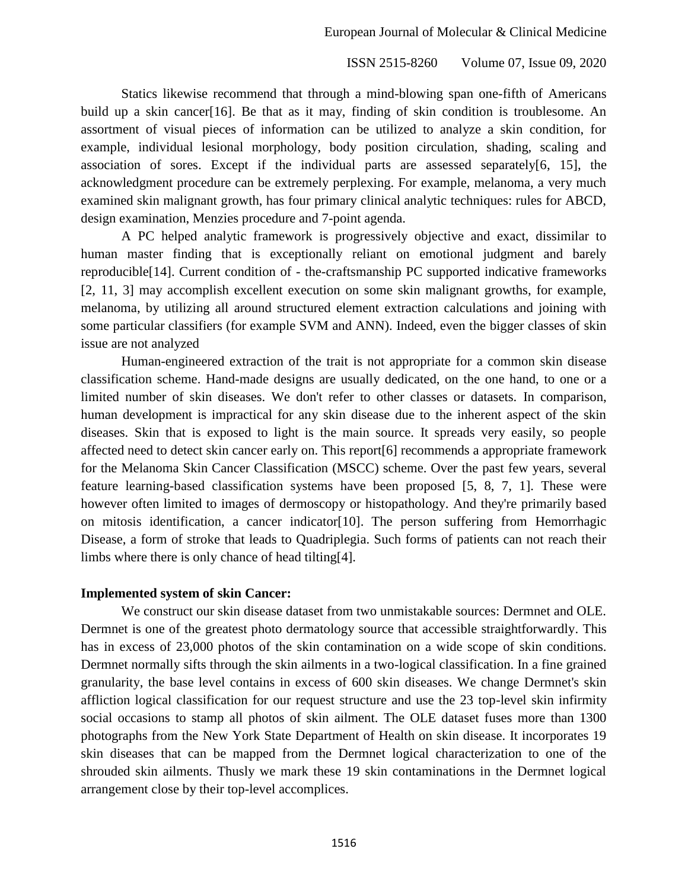Statics likewise recommend that through a mind-blowing span one-fifth of Americans build up a skin cancer[16]. Be that as it may, finding of skin condition is troublesome. An assortment of visual pieces of information can be utilized to analyze a skin condition, for example, individual lesional morphology, body position circulation, shading, scaling and association of sores. Except if the individual parts are assessed separately[6, 15], the acknowledgment procedure can be extremely perplexing. For example, melanoma, a very much examined skin malignant growth, has four primary clinical analytic techniques: rules for ABCD, design examination, Menzies procedure and 7-point agenda.

A PC helped analytic framework is progressively objective and exact, dissimilar to human master finding that is exceptionally reliant on emotional judgment and barely reproducible[14]. Current condition of - the-craftsmanship PC supported indicative frameworks [2, 11, 3] may accomplish excellent execution on some skin malignant growths, for example, melanoma, by utilizing all around structured element extraction calculations and joining with some particular classifiers (for example SVM and ANN). Indeed, even the bigger classes of skin issue are not analyzed

Human-engineered extraction of the trait is not appropriate for a common skin disease classification scheme. Hand-made designs are usually dedicated, on the one hand, to one or a limited number of skin diseases. We don't refer to other classes or datasets. In comparison, human development is impractical for any skin disease due to the inherent aspect of the skin diseases. Skin that is exposed to light is the main source. It spreads very easily, so people affected need to detect skin cancer early on. This report[6] recommends a appropriate framework for the Melanoma Skin Cancer Classification (MSCC) scheme. Over the past few years, several feature learning-based classification systems have been proposed [5, 8, 7, 1]. These were however often limited to images of dermoscopy or histopathology. And they're primarily based on mitosis identification, a cancer indicator[10]. The person suffering from Hemorrhagic Disease, a form of stroke that leads to Quadriplegia. Such forms of patients can not reach their limbs where there is only chance of head tilting[4].

## **Implemented system of skin Cancer:**

We construct our skin disease dataset from two unmistakable sources: Dermnet and OLE. Dermnet is one of the greatest photo dermatology source that accessible straightforwardly. This has in excess of 23,000 photos of the skin contamination on a wide scope of skin conditions. Dermnet normally sifts through the skin ailments in a two-logical classification. In a fine grained granularity, the base level contains in excess of 600 skin diseases. We change Dermnet's skin affliction logical classification for our request structure and use the 23 top-level skin infirmity social occasions to stamp all photos of skin ailment. The OLE dataset fuses more than 1300 photographs from the New York State Department of Health on skin disease. It incorporates 19 skin diseases that can be mapped from the Dermnet logical characterization to one of the shrouded skin ailments. Thusly we mark these 19 skin contaminations in the Dermnet logical arrangement close by their top-level accomplices.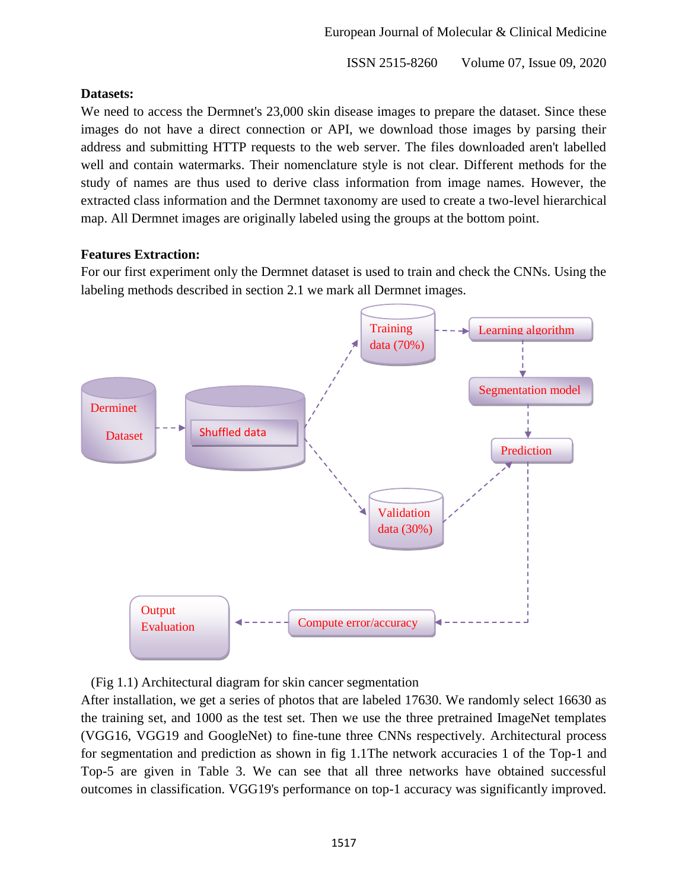## **Datasets:**

We need to access the Dermnet's 23,000 skin disease images to prepare the dataset. Since these images do not have a direct connection or API, we download those images by parsing their address and submitting HTTP requests to the web server. The files downloaded aren't labelled well and contain watermarks. Their nomenclature style is not clear. Different methods for the study of names are thus used to derive class information from image names. However, the extracted class information and the Dermnet taxonomy are used to create a two-level hierarchical map. All Dermnet images are originally labeled using the groups at the bottom point.

## **Features Extraction:**

For our first experiment only the Dermnet dataset is used to train and check the CNNs. Using the labeling methods described in section 2.1 we mark all Dermnet images.



(Fig 1.1) Architectural diagram for skin cancer segmentation

After installation, we get a series of photos that are labeled 17630. We randomly select 16630 as the training set, and 1000 as the test set. Then we use the three pretrained ImageNet templates (VGG16, VGG19 and GoogleNet) to fine-tune three CNNs respectively. Architectural process for segmentation and prediction as shown in fig 1.1The network accuracies 1 of the Top-1 and Top-5 are given in Table 3. We can see that all three networks have obtained successful outcomes in classification. VGG19's performance on top-1 accuracy was significantly improved.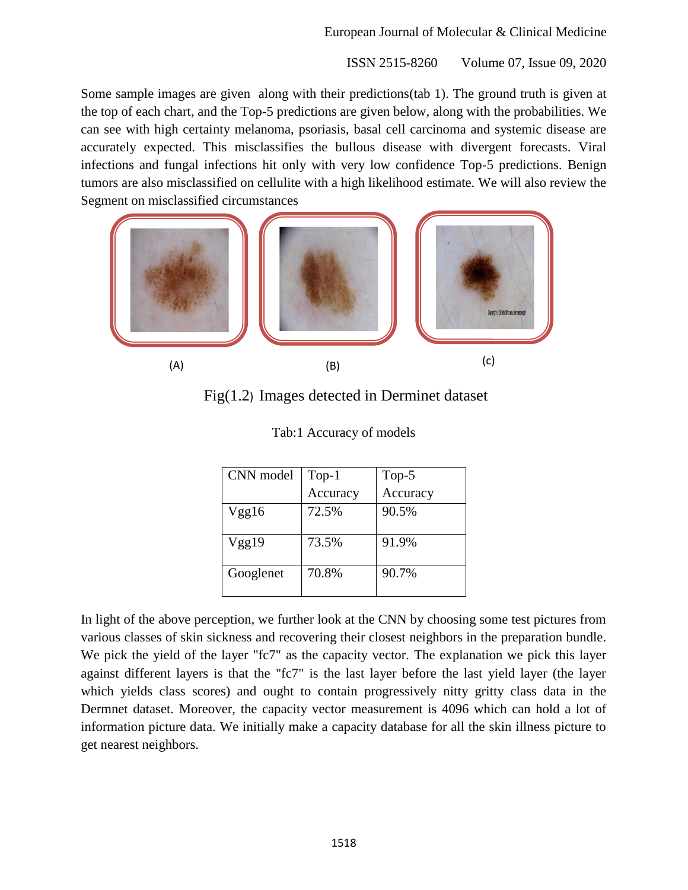Some sample images are given along with their predictions(tab 1). The ground truth is given at the top of each chart, and the Top-5 predictions are given below, along with the probabilities. We can see with high certainty melanoma, psoriasis, basal cell carcinoma and systemic disease are accurately expected. This misclassifies the bullous disease with divergent forecasts. Viral infections and fungal infections hit only with very low confidence Top-5 predictions. Benign tumors are also misclassified on cellulite with a high likelihood estimate. We will also review the Segment on misclassified circumstances



Fig(1.2) Images detected in Derminet dataset

| CNN model | $Top-1$  | Top- $5$ |  |
|-----------|----------|----------|--|
|           | Accuracy | Accuracy |  |
| Vgg16     | 72.5%    | 90.5%    |  |
| Vgg19     | 73.5%    | 91.9%    |  |
| Googlenet | 70.8%    | 90.7%    |  |

| Tab:1 Accuracy of models |  |  |
|--------------------------|--|--|
|--------------------------|--|--|

In light of the above perception, we further look at the CNN by choosing some test pictures from various classes of skin sickness and recovering their closest neighbors in the preparation bundle. We pick the yield of the layer "fc7" as the capacity vector. The explanation we pick this layer against different layers is that the "fc7" is the last layer before the last yield layer (the layer which yields class scores) and ought to contain progressively nitty gritty class data in the Dermnet dataset. Moreover, the capacity vector measurement is 4096 which can hold a lot of information picture data. We initially make a capacity database for all the skin illness picture to get nearest neighbors.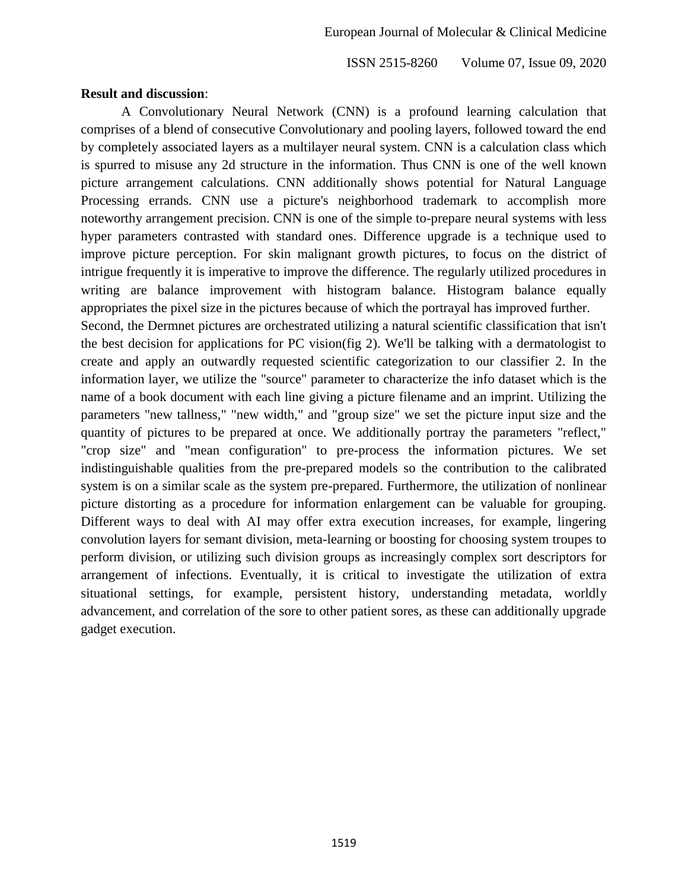#### **Result and discussion**:

A Convolutionary Neural Network (CNN) is a profound learning calculation that comprises of a blend of consecutive Convolutionary and pooling layers, followed toward the end by completely associated layers as a multilayer neural system. CNN is a calculation class which is spurred to misuse any 2d structure in the information. Thus CNN is one of the well known picture arrangement calculations. CNN additionally shows potential for Natural Language Processing errands. CNN use a picture's neighborhood trademark to accomplish more noteworthy arrangement precision. CNN is one of the simple to-prepare neural systems with less hyper parameters contrasted with standard ones. Difference upgrade is a technique used to improve picture perception. For skin malignant growth pictures, to focus on the district of intrigue frequently it is imperative to improve the difference. The regularly utilized procedures in writing are balance improvement with histogram balance. Histogram balance equally appropriates the pixel size in the pictures because of which the portrayal has improved further.

Second, the Dermnet pictures are orchestrated utilizing a natural scientific classification that isn't the best decision for applications for PC vision(fig 2). We'll be talking with a dermatologist to create and apply an outwardly requested scientific categorization to our classifier 2. In the information layer, we utilize the "source" parameter to characterize the info dataset which is the name of a book document with each line giving a picture filename and an imprint. Utilizing the parameters "new tallness," "new width," and "group size" we set the picture input size and the quantity of pictures to be prepared at once. We additionally portray the parameters "reflect," "crop size" and "mean configuration" to pre-process the information pictures. We set indistinguishable qualities from the pre-prepared models so the contribution to the calibrated system is on a similar scale as the system pre-prepared. Furthermore, the utilization of nonlinear picture distorting as a procedure for information enlargement can be valuable for grouping. Different ways to deal with AI may offer extra execution increases, for example, lingering convolution layers for semant division, meta-learning or boosting for choosing system troupes to perform division, or utilizing such division groups as increasingly complex sort descriptors for arrangement of infections. Eventually, it is critical to investigate the utilization of extra situational settings, for example, persistent history, understanding metadata, worldly advancement, and correlation of the sore to other patient sores, as these can additionally upgrade gadget execution.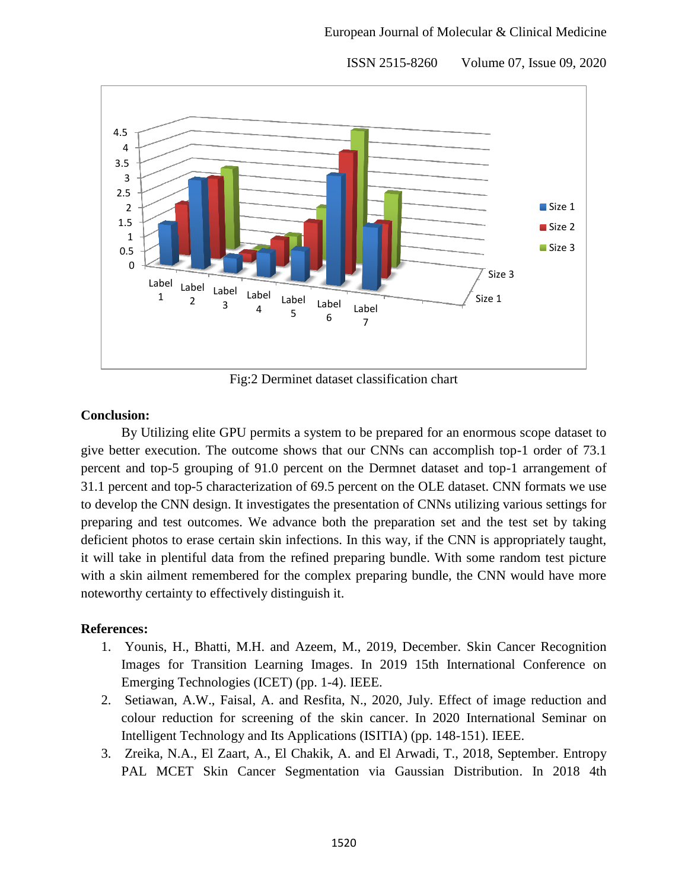Size 1 Size 3 0 0.5 1 1.5 2 2.5 3 3.5 4 4.5 Label 1 Label  $\overline{2}$ Label 3 Label 4 Label 5 Label 6 Label 7 Size 1 Size 2 Size 3

ISSN 2515-8260 Volume 07, Issue 09, 2020

Fig:2 Derminet dataset classification chart

#### **Conclusion:**

By Utilizing elite GPU permits a system to be prepared for an enormous scope dataset to give better execution. The outcome shows that our CNNs can accomplish top-1 order of 73.1 percent and top-5 grouping of 91.0 percent on the Dermnet dataset and top-1 arrangement of 31.1 percent and top-5 characterization of 69.5 percent on the OLE dataset. CNN formats we use to develop the CNN design. It investigates the presentation of CNNs utilizing various settings for preparing and test outcomes. We advance both the preparation set and the test set by taking deficient photos to erase certain skin infections. In this way, if the CNN is appropriately taught, it will take in plentiful data from the refined preparing bundle. With some random test picture with a skin ailment remembered for the complex preparing bundle, the CNN would have more noteworthy certainty to effectively distinguish it.

## **References:**

- 1. Younis, H., Bhatti, M.H. and Azeem, M., 2019, December. Skin Cancer Recognition Images for Transition Learning Images. In 2019 15th International Conference on Emerging Technologies (ICET) (pp. 1-4). IEEE.
- 2. Setiawan, A.W., Faisal, A. and Resfita, N., 2020, July. Effect of image reduction and colour reduction for screening of the skin cancer. In 2020 International Seminar on Intelligent Technology and Its Applications (ISITIA) (pp. 148-151). IEEE.
- 3. Zreika, N.A., El Zaart, A., El Chakik, A. and El Arwadi, T., 2018, September. Entropy PAL MCET Skin Cancer Segmentation via Gaussian Distribution. In 2018 4th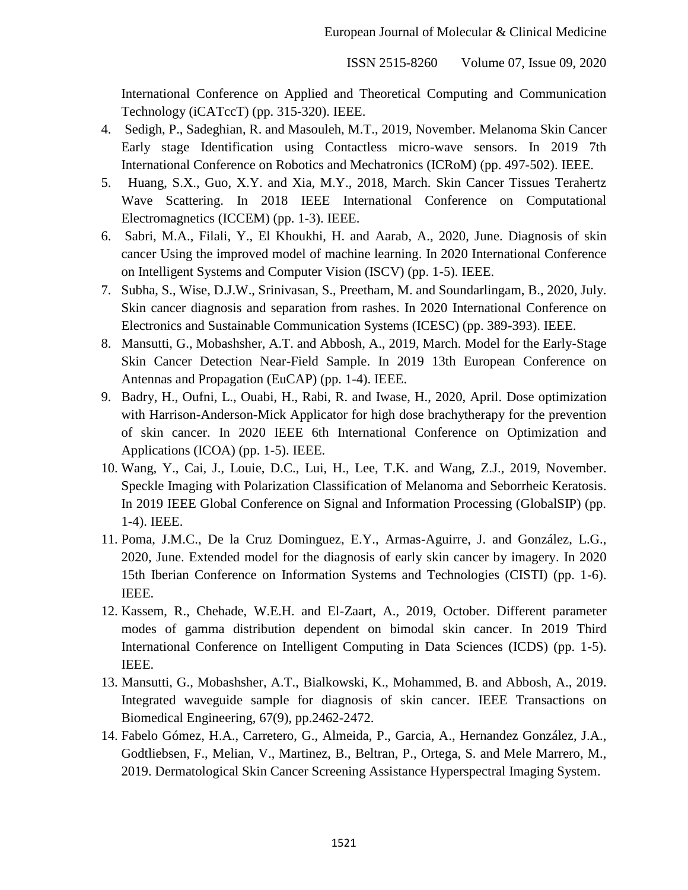International Conference on Applied and Theoretical Computing and Communication Technology (iCATccT) (pp. 315-320). IEEE.

- 4. Sedigh, P., Sadeghian, R. and Masouleh, M.T., 2019, November. Melanoma Skin Cancer Early stage Identification using Contactless micro-wave sensors. In 2019 7th International Conference on Robotics and Mechatronics (ICRoM) (pp. 497-502). IEEE.
- 5. Huang, S.X., Guo, X.Y. and Xia, M.Y., 2018, March. Skin Cancer Tissues Terahertz Wave Scattering. In 2018 IEEE International Conference on Computational Electromagnetics (ICCEM) (pp. 1-3). IEEE.
- 6. Sabri, M.A., Filali, Y., El Khoukhi, H. and Aarab, A., 2020, June. Diagnosis of skin cancer Using the improved model of machine learning. In 2020 International Conference on Intelligent Systems and Computer Vision (ISCV) (pp. 1-5). IEEE.
- 7. Subha, S., Wise, D.J.W., Srinivasan, S., Preetham, M. and Soundarlingam, B., 2020, July. Skin cancer diagnosis and separation from rashes. In 2020 International Conference on Electronics and Sustainable Communication Systems (ICESC) (pp. 389-393). IEEE.
- 8. Mansutti, G., Mobashsher, A.T. and Abbosh, A., 2019, March. Model for the Early-Stage Skin Cancer Detection Near-Field Sample. In 2019 13th European Conference on Antennas and Propagation (EuCAP) (pp. 1-4). IEEE.
- 9. Badry, H., Oufni, L., Ouabi, H., Rabi, R. and Iwase, H., 2020, April. Dose optimization with Harrison-Anderson-Mick Applicator for high dose brachytherapy for the prevention of skin cancer. In 2020 IEEE 6th International Conference on Optimization and Applications (ICOA) (pp. 1-5). IEEE.
- 10. Wang, Y., Cai, J., Louie, D.C., Lui, H., Lee, T.K. and Wang, Z.J., 2019, November. Speckle Imaging with Polarization Classification of Melanoma and Seborrheic Keratosis. In 2019 IEEE Global Conference on Signal and Information Processing (GlobalSIP) (pp. 1-4). IEEE.
- 11. Poma, J.M.C., De la Cruz Dominguez, E.Y., Armas-Aguirre, J. and González, L.G., 2020, June. Extended model for the diagnosis of early skin cancer by imagery. In 2020 15th Iberian Conference on Information Systems and Technologies (CISTI) (pp. 1-6). IEEE.
- 12. Kassem, R., Chehade, W.E.H. and El-Zaart, A., 2019, October. Different parameter modes of gamma distribution dependent on bimodal skin cancer. In 2019 Third International Conference on Intelligent Computing in Data Sciences (ICDS) (pp. 1-5). IEEE.
- 13. Mansutti, G., Mobashsher, A.T., Bialkowski, K., Mohammed, B. and Abbosh, A., 2019. Integrated waveguide sample for diagnosis of skin cancer. IEEE Transactions on Biomedical Engineering, 67(9), pp.2462-2472.
- 14. Fabelo Gómez, H.A., Carretero, G., Almeida, P., Garcia, A., Hernandez González, J.A., Godtliebsen, F., Melian, V., Martinez, B., Beltran, P., Ortega, S. and Mele Marrero, M., 2019. Dermatological Skin Cancer Screening Assistance Hyperspectral Imaging System.